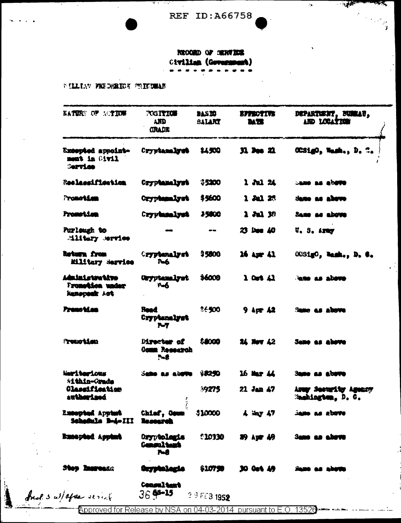**REF ID: A66758** 

 $\mathcal{L}$ 

**TARET** 

 $\frac{1}{2}$ 

 $\mathcal{F}_{\mathbf{0}}$ 

RECORD OF GERVICE Civilian (Government)

**PILLIAN FEEDRICK MILITARY** 

| KATURE OF SCTION                                      | <b>TOSITION</b><br><b>AND</b><br><b>GRADE</b>     | 915 YO<br>SALART | <b>BITTEOTIVE</b><br><b>MT</b>  | DEPARTURNT, BURGAU,<br>AND LOCATION                       |
|-------------------------------------------------------|---------------------------------------------------|------------------|---------------------------------|-----------------------------------------------------------|
| Excepted appoint-<br>Livil al tamma<br><b>Service</b> | Cryptamalyst                                      | \$4,500          | 31. Dec 21.                     | OCSigO, Wash., D. C.                                      |
| Reslacaification                                      | Cryptemalyst                                      | \$5200           | $1$ Jul $24$                    | <b>CAME AS ADDITE</b>                                     |
| Promotian                                             | Oryphanalyst                                      | \$5600           | 130.25                          | Same as above                                             |
| Promotium                                             | Cryphanalyst                                      | 35800            | $2$ Jul 38                      | Same as above                                             |
| Purlough to<br><b>Miltery</b> service                 |                                                   | $\sim$ $\sim$    | 23 Dee 40                       | $\mathbf{U}$ , $\mathbf{S}$ , $\mathbf{A}$ , $\mathbf{M}$ |
| Roturn from<br>Military Service                       | <b>Cryptenalyst</b><br><b>Regist</b>              | 35800            | $16$ Apr $41$                   | OCSigO, Wash., D. C.                                      |
| Administrative<br>Frometion under<br>Remopedk Act     | Oryptamalyst<br>P-6                               | \$6000           | $1$ Ort $41$                    | <b>CAR AS ADOTO</b>                                       |
| Premotian                                             | <b>Read</b><br>Cryptenalyst<br>$\mathbf{M}$       | **500            | $9$ Apr $42$                    | Same as above                                             |
| <b>Protional am</b>                                   | <b>Director of</b><br><b>Comm Research</b><br>P-S | 88000            | 24 Nov 42                       | <b>Same as above</b>                                      |
| Metricarious<br>Within-Crade                          | Same as above \$8250                              |                  | 16 Mar 44                       | <b>Same as above</b>                                      |
| Classification<br>antherians                          |                                                   | 39275            | $21$ Jan $47$                   | Army Secondity Agency<br>Samhington, D. C.                |
| Excepted Appters<br>Schofnle B-4-III                  | Chiaf, Geum<br>Research                           | \$10000          | $4$ $\frac{1}{2}$ $\frac{1}{2}$ | <b>Same as above</b>                                      |
| Encapted Appent                                       | Oryptolanie<br><b>Consultant</b><br>7-8           | 0.10330          | <b>粉 kgr tf</b>                 | Same an above                                             |
| <b>Stop Instructs</b>                                 | Oryphologia                                       | $$107$ 98        | 30 Oct 49                       | <b>Same as abov</b>                                       |
| fuel 3 w/ after service                               | <b>Consultant</b><br>$36$ $43 - 15$               | 29 FEB 1952      |                                 |                                                           |

Approved for Release by NSA on 04-03-2014 pursuant to E.O. 13526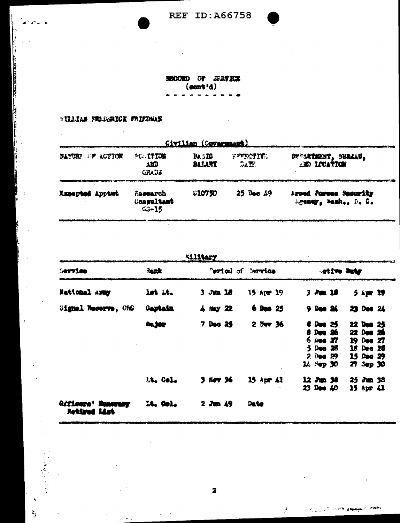**REF ID: A66758** 

 $\bar{z}$ 

 $\sim 10^{-1}$ 

l,

NECORD OF STRUKK  $(5!300)$  $\rightarrow$  $\bullet$ ă

## **FILLIAM FREEZERICK FRIEDWAY**

 $\bar{z}$ 

ļ. a.

**THE PERSONAL PROPERTY OF THE PROPERTY OF THE PERSONAL PROPERTY OF THE PROPERTY OF THE PROPERTY OF THE PROPERTY OF THE PROPERTY OF THE PROPERTY OF THE PROPERTY OF THE PROPERTY OF THE PROPERTY OF THE PROPERTY OF THE PROPERT** 

**The Second** 

h

ļ

 $\bar{\mathcal{A}}$ 

 $\mathcal{C}$ 

 $\ddot{\phantom{a}}$ 

 $\bar{a}$ 

 $\frac{1}{2}$ 

| Givilian (Covername)   |                  |                                                  |                               |                                                   |                                               |  |  |  |  |
|------------------------|------------------|--------------------------------------------------|-------------------------------|---------------------------------------------------|-----------------------------------------------|--|--|--|--|
| <b>NAMIRE</b>          | <b>EP ACTION</b> | PC ITION<br>AD<br>GRADS                          | <b>RASEG</b><br><b>BAJART</b> | <b>VEECTIFE</b><br>$\mathbb{R}$ in $\mathbb{R}$ . | DEPARTMENT, SURLAU,<br><b>AND LOCATION</b>    |  |  |  |  |
| <b>Zzeepted Apptat</b> |                  | <b><i>Rasearch</i></b><br>Congultant<br>$C - 15$ | $*10750$                      | 25 Bed 49                                         | Arned Forees Security<br>Agency, Mash., D. C. |  |  |  |  |

|                                           |                | <b>Kilitary</b>               |                                                                                                                                                                     |
|-------------------------------------------|----------------|-------------------------------|---------------------------------------------------------------------------------------------------------------------------------------------------------------------|
| $-$ ervice                                | Rank           | "eriod of Barvice             | -stive Duty                                                                                                                                                         |
| National away                             | lst it.        | $3 \sqrt{44}$ 18<br>15 Apr 19 | $3$ $\lambda$ m $15$<br>$5$ apr $19$                                                                                                                                |
| Signal Recorve, ORC                       | Gaptain        | $6$ Dans $25$<br>$4 = 22$     | 23 Dee 24<br>$9.000$ $24.$                                                                                                                                          |
|                                           | <b>In joy</b>  | $2$ Nev $36$<br>7 Dec 25      | 6 Dec 25<br>22 Dec 25<br>8 Dec 26<br>22 Dec 26<br>$6 \omega_{00}$ $27$<br>19 Dec 27<br>5 Dec 28<br>18 Dee 28<br>2000.29<br>1500029<br>$14 \times p 30$<br>27 3ep 30 |
|                                           | <b>M. Cel.</b> | 3 Nov 36<br>15 Apr 41         | $12$ Jun $36$<br>$25$ $\sqrt{200}$ $36$<br>$23$ Dee $40$<br>15 Apr 41                                                                                               |
| <i>Gifioera' Nemerany</i><br>Retired List | lt, Gol.       | $2$ Jun $49$<br>Date          |                                                                                                                                                                     |

2

 $\mathcal{F}$ 

**ALCOHOL: NOW SHAPPING**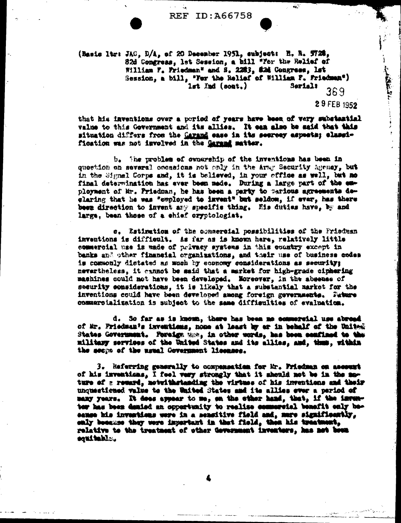**REF ID: A66758** 

.<br>مە

(Basic ltr: JAC, D/A, of 20 December 1951, subject: H. R. W20. 82d Congress, let Session, a bill "Yer the Relief of William F. Friedman" and S. 2283, 82d Congress, lst Session, a bill, "For the Relief of William F. Friedman")  $1st$   $\mathbf{Ind}$   $(\text{soat.})$  $S$ er $1$ al $\overline{\phantom{a}}$ 369

that his inventions over a period of years have been of very substantial value to this Government and its allies. It can also be said that this situation differs from the <u>Carand</u> sase in its secrecy aspects; classification was not involved in the <u>Garand</u> matter.

b. The problem of ownership of the inventions has been in question on several occasions not only in the Army Security Agemey, but in the Signal Corps and, it is believed, in your office as well, but no final determination has ever been mede. During a large part of the employment of Mr. Priedman, he has been a party to warious agreements deglaring that he was "employed to invent" but seldom, if ever, has there been direction to invent any specific thing. His duties have, by and large, been those of a chief cryptologiat.

c. Estimation of the commercial possibilities of the Friedman inventions is difficult. As far as is known here, relatively little commercial use is made of privacy systems in this country except in banks and other financial organizations, and their use of business codes is commonly distated as mush by economy somsiderations as security; nevertheless, it cannot be said that a market for high-grade ciphering machines could not have been developed. Noreover, in the absense of security considerations, it is likely that a substantial market for the inventions could have been developed among foreign gevernments. Future commercialization is subject to the same difficulties of evaluation.

d. So far as is known, there has been no commercial use abread of Mr. Friedman's inventions, none at least by er in behalf of the United States Government. Foreign man, in other words, has been confined to the military services of the United States and its allies, and, thus, within the seeps of the usual Covernment licenses.

3. Referring generally to compensation for Mr. Friedman on account of his inventions, I feel very strongly that it should not be in the moture of g reward, moteithstanding the virtues of his inventions and their unquestioned value to the United States and its allies ever a pariod of many years. It does appear to me, on the other hand, that, if the inventer has been denied an opportunity to realise commercial benefit only beeause his investions were in a sensitive field and, mare significantly, enly besemes they were important in that field, then his treatment, relative to the treatment of other Government inventors, has not boun equitable.

<sup>29</sup> FEB 1952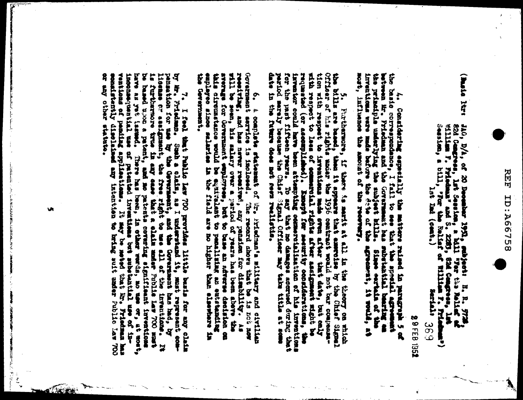여<br>머 **ID:A6758** 

Linux, attest  $10, 0, 0;$  of 20 December 1951, subject: I. R. 977<br>82d Cengress, Lat Session, a Mill "7er the Relise"<br>1911-1988 F. Friedman" and S. 2253, 82d Cengress, Le<br>1988 Feather, a bill, "For the Relise" of Wiliam F. Pri HH ĭ Ŀ

**289FEB1352** ပ္ပ်က္

Considering especially the matters raised in paragraph 5 of

nost, influence the basic correspondance, I fail to see that the special agreement between the principle of the principle underlying the subject bills. Showever, can principle underlying the subject bills. Showever, can the the before the the amount of the reevery.

Ter the past fifteen awen attempting occumentalization of his inventions<br>for the past fifteen years. To aay that no damages accrued during that<br>pariod maraly because the Chief Signal Officer may take title at some<br>date in tion with respect to inventions mole even after that date, but only will be ready as a control of control of commutation rights after the control of commutation rights are reached to the commutation respect to the commutat the bills are based, then it spy<br>Officer of his rights under the ٩ Furthermore, these it appears that emerges by the Chief Signal. if there is nearly at its or the cory on which

Government service is inclosed. The record shows that be is no is no that half is no is in the new that has never received, and here new receive and here is the server of the serve of the serve of the serve of the serve of Ë sverage for Government employees, but to base an ad at added in the man and the model of equation and the final model of the state of the state and the state of the state and the state of the state of the state and the sta Gevernment ଼ a complete statement of Sr. Priedman's silifary and civilian penalizing an entetandiag base an adverse debiator co **STAND SISPERS** ę ¥

consistently diselains any intention to haing suit anser Public Law 700 ventions of pending applieations. be based w.oo a patent, and no patents corentha signifiaant inritries to the correct space of the correct of the correct of the correct of the correct of the correct of the correct of the correct of the correct of the corr by Mr. Friedman. Sumble claim, and I understand it, must represent con-<br>penneston for use by the Gevernment, and the Government has hed, by<br>license are satignment, the free right to mee all of the inventions. It<br>is further 7. I feel t or any other Teel that Public lev 700 provides little stats tor any It my be moted that into Frishman or, at mont, **Laventions B**<br>Ti shalo E

artarente.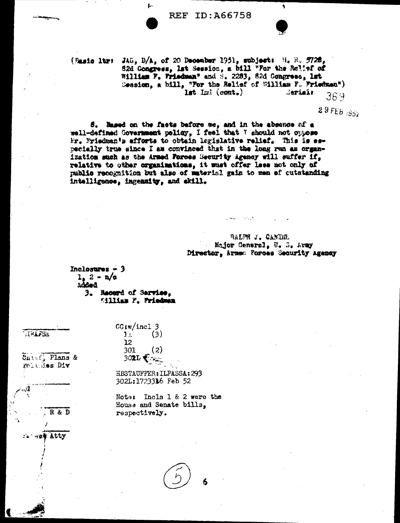f.

(Rasio ltr: JAG, D/A, of 20 December 1951, subject: H. R. 5728, 82d Congress, lat Session, a bill "For the Rolinf of William F. Friedman" and S. 2283, 82d Congress, 1st Session, a bill, "For the Relief of William F. Friedman")  $1st$   $Iw$  (cont.) Sepîrîn 369

 $29FEB_{332}$ 

8. Based on the facts before me, and in the absence of a well-defined Government policy, I feel that I should not oppose Mr. Mriedman's efforts to obtain lagislative relief. This is especially true since I am convinced that in the long run am organization such as the Armed Forces Security Agency will suffer if, relative to other organizations, it wast offer less not only of public recognition but also of material gain to men ef cutstanding intelligence, ingenuity, and skill.

> RALPH J. CANDEL Major General, U. S. Army Director, Armed Forces Security Agency

المعار

 $\sim 100$  M

Inclosures  $-3$  $1.2 - n/a$ added 3. Recend of Service. Eilliam F. Friedman

 $CG(w/incl 3$ 

 $302L$ 

 $11$ 

 $12$ 

301

**EFAFSS** 

*Unist*, Plans & Politics Div

say Atty

R & D

HBSTAUFFER: ILPASSA: 293 302L:1723316 Feb 52

 $(3)$ 

 $(2)$ 

Note: Incls 1 & 2 were the House and Senate bills. respectively.